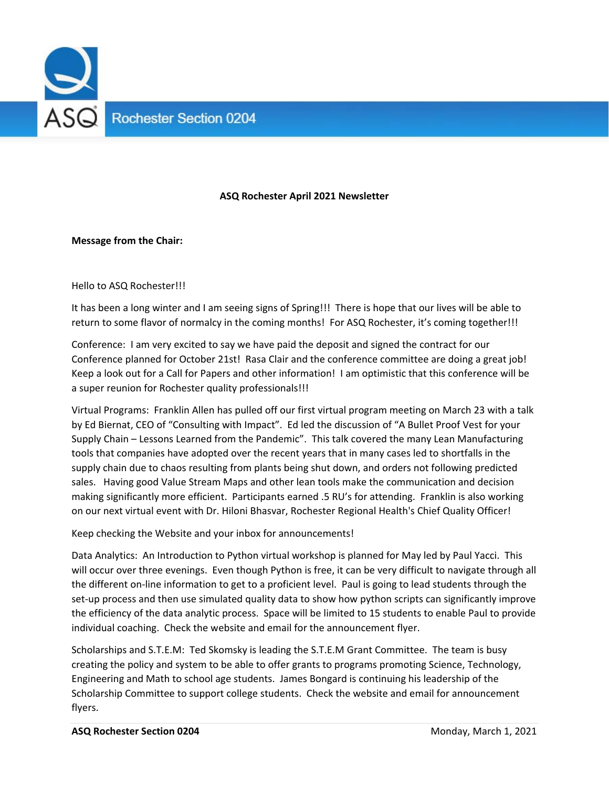

## **ASQ Rochester April 2021 Newsletter**

## **Message from the Chair:**

Hello to ASQ Rochester!!!

It has been a long winter and I am seeing signs of Spring!!! There is hope that our lives will be able to return to some flavor of normalcy in the coming months! For ASQ Rochester, it's coming together!!!

Conference: I am very excited to say we have paid the deposit and signed the contract for our Conference planned for October 21st! Rasa Clair and the conference committee are doing a great job! Keep a look out for a Call for Papers and other information! I am optimistic that this conference will be a super reunion for Rochester quality professionals!!!

Virtual Programs: Franklin Allen has pulled off our first virtual program meeting on March 23 with a talk by Ed Biernat, CEO of "Consulting with Impact". Ed led the discussion of "A Bullet Proof Vest for your Supply Chain – Lessons Learned from the Pandemic". This talk covered the many Lean Manufacturing tools that companies have adopted over the recent years that in many cases led to shortfalls in the supply chain due to chaos resulting from plants being shut down, and orders not following predicted sales. Having good Value Stream Maps and other lean tools make the communication and decision making significantly more efficient. Participants earned .5 RU's for attending. Franklin is also working on our next virtual event with Dr. Hiloni Bhasvar, Rochester Regional Health's Chief Quality Officer!

Keep checking the Website and your inbox for announcements!

Data Analytics: An Introduction to Python virtual workshop is planned for May led by Paul Yacci. This will occur over three evenings. Even though Python is free, it can be very difficult to navigate through all the different on‐line information to get to a proficient level. Paul is going to lead students through the set-up process and then use simulated quality data to show how python scripts can significantly improve the efficiency of the data analytic process. Space will be limited to 15 students to enable Paul to provide individual coaching. Check the website and email for the announcement flyer.

Scholarships and S.T.E.M: Ted Skomsky is leading the S.T.E.M Grant Committee. The team is busy creating the policy and system to be able to offer grants to programs promoting Science, Technology, Engineering and Math to school age students. James Bongard is continuing his leadership of the Scholarship Committee to support college students. Check the website and email for announcement flyers.